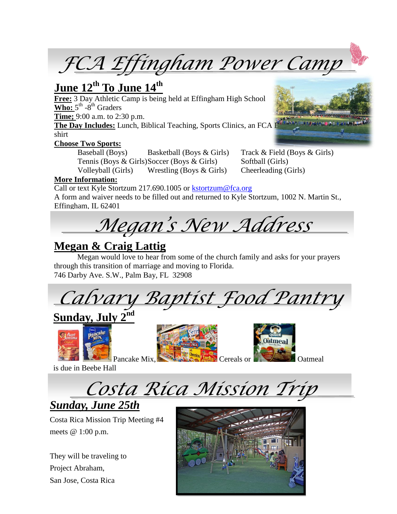*FCA Effingham Power Camp*

# **June 12th To June 14th**

**Free:** 3 Day Athletic Camp is being held at Effingham High School  $\overline{\text{Who: } 5}^{\text{th}}$  -8<sup>th</sup> Graders

**Time;** 9:00 a.m. to 2:30 p.m.

**The Day Includes:** Lunch, Biblical Teaching, Sports Clinics, an FCA BIBLANCE AND AND AND AND AND AND AND AND AN shirt

#### **Choose Two Sports:**

Baseball (Boys) Basketball (Boys & Girls) Track & Field (Boys & Girls) Tennis (Boys & Girls)Soccer (Boys & Girls) Softball (Girls) Volleyball (Girls) Wrestling (Boys & Girls) Cheerleading (Girls)

#### **More Information:**

Call or text Kyle Stortzum 217.690.1005 or [kstortzum@fca.org](mailto:kstortzum@fca.org) A form and waiver needs to be filled out and returned to Kyle Stortzum, 1002 N. Martin St., Effingham, IL 62401

*Megan's New Address*

### **Megan & Craig Lattig**

Megan would love to hear from some of the church family and asks for your prayers through this transition of marriage and moving to Florida. 746 Darby Ave. S.W., Palm Bay, FL 32908

*Calvary Baptist Food Pantry*

## **Sunday, July 2nd**



Pancake Mix, **Cereals or** Cereals or **Cereal** Catmeal



is due in Beebe Hall



*Sunday, June 25th*

Costa Rica Mission Trip Meeting #4 meets @ 1:00 p.m.

They will be traveling to Project Abraham, San Jose, Costa Rica